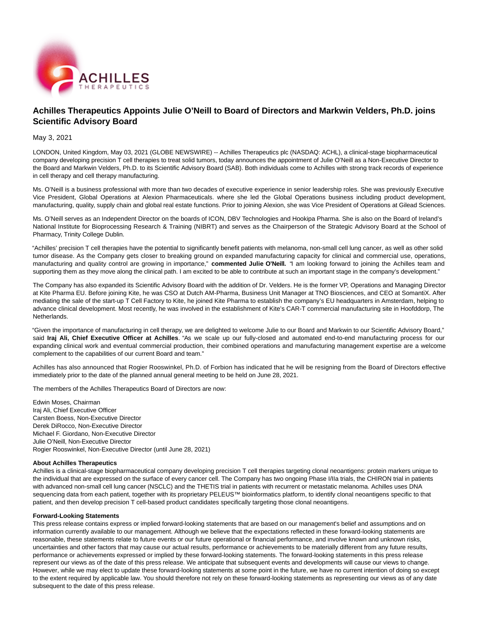

# **Achilles Therapeutics Appoints Julie O'Neill to Board of Directors and Markwin Velders, Ph.D. joins Scientific Advisory Board**

### May 3, 2021

LONDON, United Kingdom, May 03, 2021 (GLOBE NEWSWIRE) -- Achilles Therapeutics plc (NASDAQ: ACHL), a clinical-stage biopharmaceutical company developing precision T cell therapies to treat solid tumors, today announces the appointment of Julie O'Neill as a Non-Executive Director to the Board and Markwin Velders, Ph.D. to its Scientific Advisory Board (SAB). Both individuals come to Achilles with strong track records of experience in cell therapy and cell therapy manufacturing.

Ms. O'Neill is a business professional with more than two decades of executive experience in senior leadership roles. She was previously Executive Vice President, Global Operations at Alexion Pharmaceuticals. where she led the Global Operations business including product development, manufacturing, quality, supply chain and global real estate functions. Prior to joining Alexion, she was Vice President of Operations at Gilead Sciences.

Ms. O'Neill serves as an Independent Director on the boards of ICON, DBV Technologies and Hookipa Pharma. She is also on the Board of Ireland's National Institute for Bioprocessing Research & Training (NIBRT) and serves as the Chairperson of the Strategic Advisory Board at the School of Pharmacy, Trinity College Dublin.

"Achilles' precision T cell therapies have the potential to significantly benefit patients with melanoma, non-small cell lung cancer, as well as other solid tumor disease. As the Company gets closer to breaking ground on expanded manufacturing capacity for clinical and commercial use, operations, manufacturing and quality control are growing in importance," **commented Julie O'Neill.** "I am looking forward to joining the Achilles team and supporting them as they move along the clinical path. I am excited to be able to contribute at such an important stage in the company's development."

The Company has also expanded its Scientific Advisory Board with the addition of Dr. Velders. He is the former VP, Operations and Managing Director at Kite Pharma EU. Before joining Kite, he was CSO at Dutch AM-Pharma, Business Unit Manager at TNO Biosciences, and CEO at SomantiX. After mediating the sale of the start-up T Cell Factory to Kite, he joined Kite Pharma to establish the company's EU headquarters in Amsterdam, helping to advance clinical development. Most recently, he was involved in the establishment of Kite's CAR-T commercial manufacturing site in Hoofddorp, The Netherlands.

"Given the importance of manufacturing in cell therapy, we are delighted to welcome Julie to our Board and Markwin to our Scientific Advisory Board," said **Iraj Ali, Chief Executive Officer at Achilles**. "As we scale up our fully-closed and automated end-to-end manufacturing process for our expanding clinical work and eventual commercial production, their combined operations and manufacturing management expertise are a welcome complement to the capabilities of our current Board and team."

Achilles has also announced that Rogier Rooswinkel, Ph.D. of Forbion has indicated that he will be resigning from the Board of Directors effective immediately prior to the date of the planned annual general meeting to be held on June 28, 2021.

The members of the Achilles Therapeutics Board of Directors are now:

Edwin Moses, Chairman Iraj Ali, Chief Executive Officer Carsten Boess, Non-Executive Director Derek DiRocco, Non-Executive Director Michael F. Giordano, Non-Executive Director Julie O'Neill, Non-Executive Director Rogier Rooswinkel, Non-Executive Director (until June 28, 2021)

#### **About Achilles Therapeutics**

Achilles is a clinical-stage biopharmaceutical company developing precision T cell therapies targeting clonal neoantigens: protein markers unique to the individual that are expressed on the surface of every cancer cell. The Company has two ongoing Phase I/IIa trials, the CHIRON trial in patients with advanced non-small cell lung cancer (NSCLC) and the THETIS trial in patients with recurrent or metastatic melanoma. Achilles uses DNA sequencing data from each patient, together with its proprietary PELEUS™ bioinformatics platform, to identify clonal neoantigens specific to that patient, and then develop precision T cell-based product candidates specifically targeting those clonal neoantigens.

#### **Forward-Looking Statements**

This press release contains express or implied forward-looking statements that are based on our management's belief and assumptions and on information currently available to our management. Although we believe that the expectations reflected in these forward-looking statements are reasonable, these statements relate to future events or our future operational or financial performance, and involve known and unknown risks, uncertainties and other factors that may cause our actual results, performance or achievements to be materially different from any future results, performance or achievements expressed or implied by these forward-looking statements. The forward-looking statements in this press release represent our views as of the date of this press release. We anticipate that subsequent events and developments will cause our views to change. However, while we may elect to update these forward-looking statements at some point in the future, we have no current intention of doing so except to the extent required by applicable law. You should therefore not rely on these forward-looking statements as representing our views as of any date subsequent to the date of this press release.